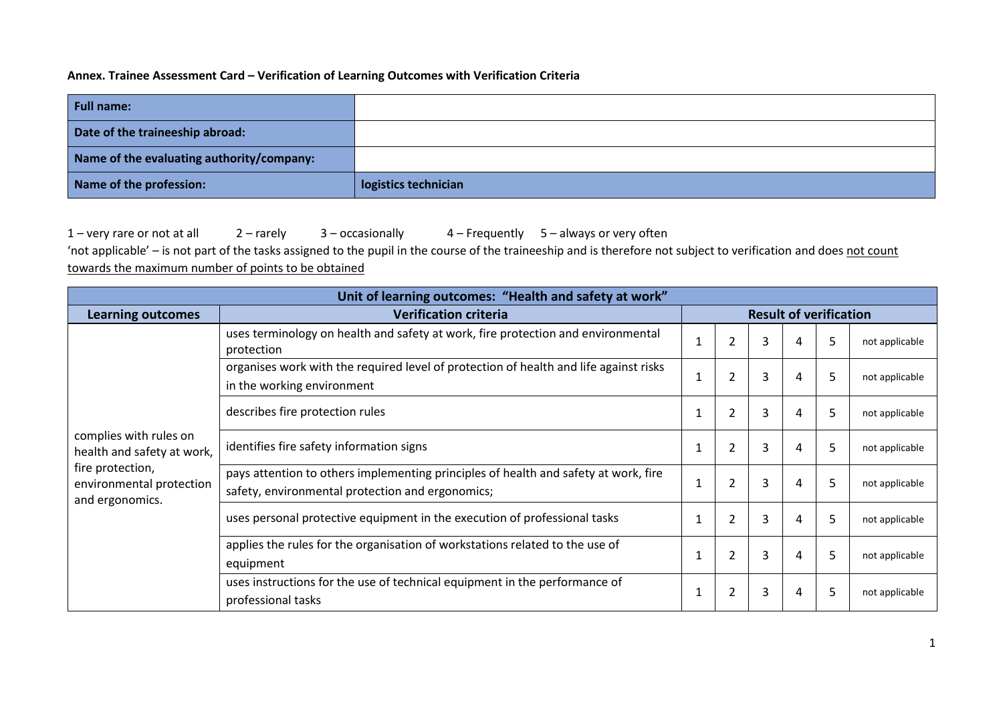## **Annex. Trainee Assessment Card – Verification of Learning Outcomes with Verification Criteria**

| <b>Full name:</b>                         |                      |
|-------------------------------------------|----------------------|
| Date of the traineeship abroad:           |                      |
| Name of the evaluating authority/company: |                      |
| Name of the profession:                   | logistics technician |

1 – very rare or not at all 2 – rarely 3 – occasionally 4 – Frequently 5 – always or very often

'not applicable' - is not part of the tasks assigned to the pupil in the course of the traineeship and is therefore not subject to verification and does not count towards the maximum number of points to be obtained

| Unit of learning outcomes: "Health and safety at work"          |                                                                                                                                         |                               |                |   |   |   |                |
|-----------------------------------------------------------------|-----------------------------------------------------------------------------------------------------------------------------------------|-------------------------------|----------------|---|---|---|----------------|
| <b>Learning outcomes</b>                                        | <b>Verification criteria</b>                                                                                                            | <b>Result of verification</b> |                |   |   |   |                |
|                                                                 | uses terminology on health and safety at work, fire protection and environmental<br>protection                                          |                               | $\overline{2}$ | 3 | 4 | 5 | not applicable |
|                                                                 | organises work with the required level of protection of health and life against risks<br>in the working environment                     |                               | 2              | 3 | 4 | 5 | not applicable |
| complies with rules on<br>health and safety at work,            | describes fire protection rules                                                                                                         | 1                             | $\overline{2}$ | 3 | 4 | 5 | not applicable |
|                                                                 | identifies fire safety information signs                                                                                                | 1                             | 2              | 3 | 4 | Ь | not applicable |
| fire protection,<br>environmental protection<br>and ergonomics. | pays attention to others implementing principles of health and safety at work, fire<br>safety, environmental protection and ergonomics; |                               | $\overline{2}$ | 3 | 4 | 5 | not applicable |
|                                                                 | uses personal protective equipment in the execution of professional tasks                                                               | 1                             | $\overline{2}$ | 3 | 4 | 5 | not applicable |
|                                                                 | applies the rules for the organisation of workstations related to the use of<br>equipment                                               |                               | $\overline{2}$ | 3 | 4 | 5 | not applicable |
|                                                                 | uses instructions for the use of technical equipment in the performance of<br>professional tasks                                        | 1                             | $\overline{2}$ | 3 | 4 | 5 | not applicable |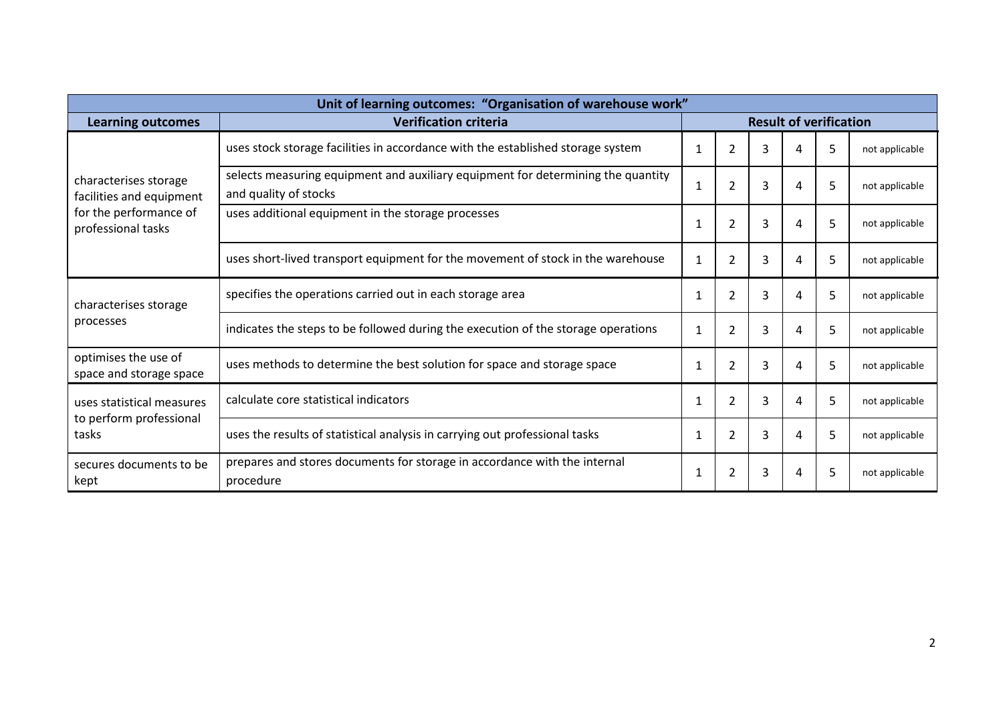| Unit of learning outcomes: "Organisation of warehouse work"                                       |                                                                                                           |              |                               |   |   |   |                |
|---------------------------------------------------------------------------------------------------|-----------------------------------------------------------------------------------------------------------|--------------|-------------------------------|---|---|---|----------------|
| <b>Learning outcomes</b>                                                                          | <b>Verification criteria</b>                                                                              |              | <b>Result of verification</b> |   |   |   |                |
|                                                                                                   | uses stock storage facilities in accordance with the established storage system                           | 1            | $\overline{2}$                | 3 | 4 | 5 | not applicable |
| characterises storage<br>facilities and equipment<br>for the performance of<br>professional tasks | selects measuring equipment and auxiliary equipment for determining the quantity<br>and quality of stocks | $\mathbf{1}$ | 2                             | 3 | 4 | 5 | not applicable |
|                                                                                                   | uses additional equipment in the storage processes                                                        | $\mathbf{1}$ | 2                             | 3 | 4 | 5 | not applicable |
|                                                                                                   | uses short-lived transport equipment for the movement of stock in the warehouse                           | 1            | 2                             | 3 | 4 | 5 | not applicable |
| characterises storage                                                                             | specifies the operations carried out in each storage area                                                 | $\mathbf{1}$ | $\overline{2}$                | 3 | 4 | 5 | not applicable |
| processes                                                                                         | indicates the steps to be followed during the execution of the storage operations                         | $\mathbf{1}$ | 2                             | 3 | 4 | 5 | not applicable |
| optimises the use of<br>space and storage space                                                   | uses methods to determine the best solution for space and storage space                                   | 1            | 2                             | 3 | 4 | 5 | not applicable |
| uses statistical measures                                                                         | calculate core statistical indicators                                                                     | 1            | $\overline{2}$                | 3 | 4 | 5 | not applicable |
| to perform professional<br>tasks                                                                  | uses the results of statistical analysis in carrying out professional tasks                               | 1            | $\overline{2}$                | 3 | 4 | 5 | not applicable |
| secures documents to be<br>kept                                                                   | prepares and stores documents for storage in accordance with the internal<br>procedure                    | 1            | $\overline{2}$                | 3 | 4 | 5 | not applicable |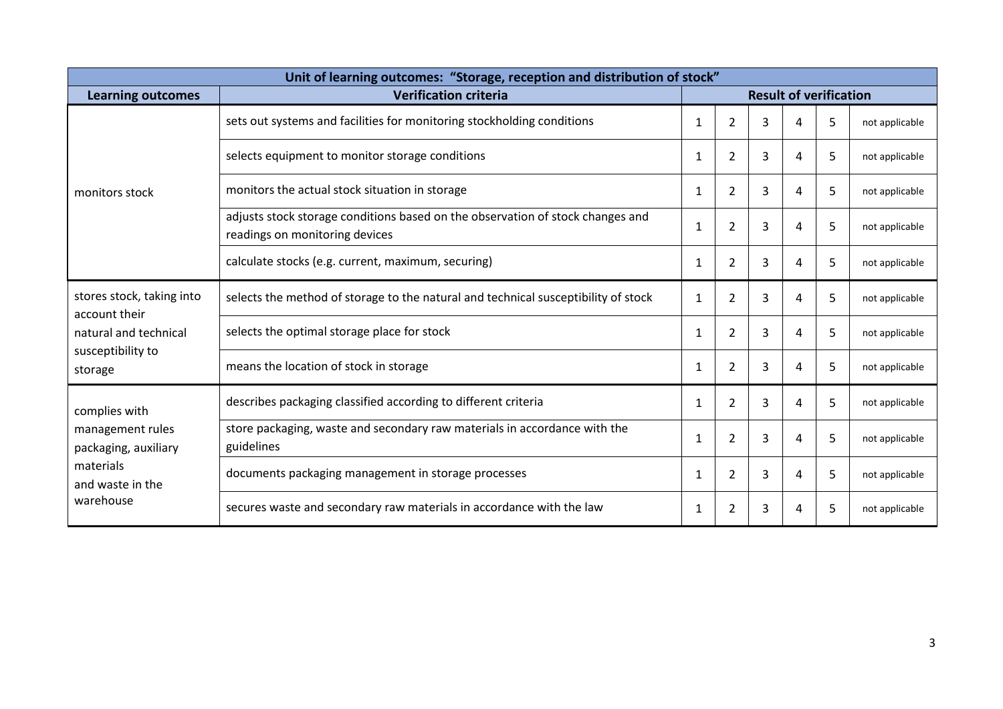| Unit of learning outcomes: "Storage, reception and distribution of stock" |                                                                                                                  |                               |                |   |   |   |                |
|---------------------------------------------------------------------------|------------------------------------------------------------------------------------------------------------------|-------------------------------|----------------|---|---|---|----------------|
| <b>Learning outcomes</b>                                                  | <b>Verification criteria</b>                                                                                     | <b>Result of verification</b> |                |   |   |   |                |
|                                                                           | sets out systems and facilities for monitoring stockholding conditions                                           | $\mathbf{1}$                  | $\overline{2}$ | 3 | 4 | 5 | not applicable |
|                                                                           | selects equipment to monitor storage conditions                                                                  |                               | $\overline{2}$ | 3 | 4 | 5 | not applicable |
| monitors stock                                                            | monitors the actual stock situation in storage                                                                   | 1                             | $\overline{2}$ | 3 | 4 | 5 | not applicable |
|                                                                           | adjusts stock storage conditions based on the observation of stock changes and<br>readings on monitoring devices | $\mathbf{1}$                  | $\overline{2}$ | 3 | 4 | 5 | not applicable |
|                                                                           | calculate stocks (e.g. current, maximum, securing)                                                               | $\mathbf{1}$                  | $\overline{2}$ | 3 | 4 | 5 | not applicable |
| stores stock, taking into<br>account their                                | selects the method of storage to the natural and technical susceptibility of stock                               | 1                             | 2              | 3 | 4 | 5 | not applicable |
| natural and technical                                                     | selects the optimal storage place for stock                                                                      | 1                             | 2              | 3 | 4 | 5 | not applicable |
| susceptibility to<br>storage                                              | means the location of stock in storage                                                                           | 1                             | $\overline{2}$ | 3 | 4 | 5 | not applicable |
| complies with                                                             | describes packaging classified according to different criteria                                                   | $\mathbf{1}$                  | $\overline{2}$ | 3 | 4 | 5 | not applicable |
| management rules<br>packaging, auxiliary                                  | store packaging, waste and secondary raw materials in accordance with the<br>guidelines                          | 1                             | $\overline{2}$ | 3 | 4 | 5 | not applicable |
| materials<br>and waste in the                                             | documents packaging management in storage processes                                                              | 1                             | $\overline{2}$ | 3 | 4 | 5 | not applicable |
| warehouse                                                                 | secures waste and secondary raw materials in accordance with the law                                             | 1                             | $\overline{2}$ | 3 | 4 | 5 | not applicable |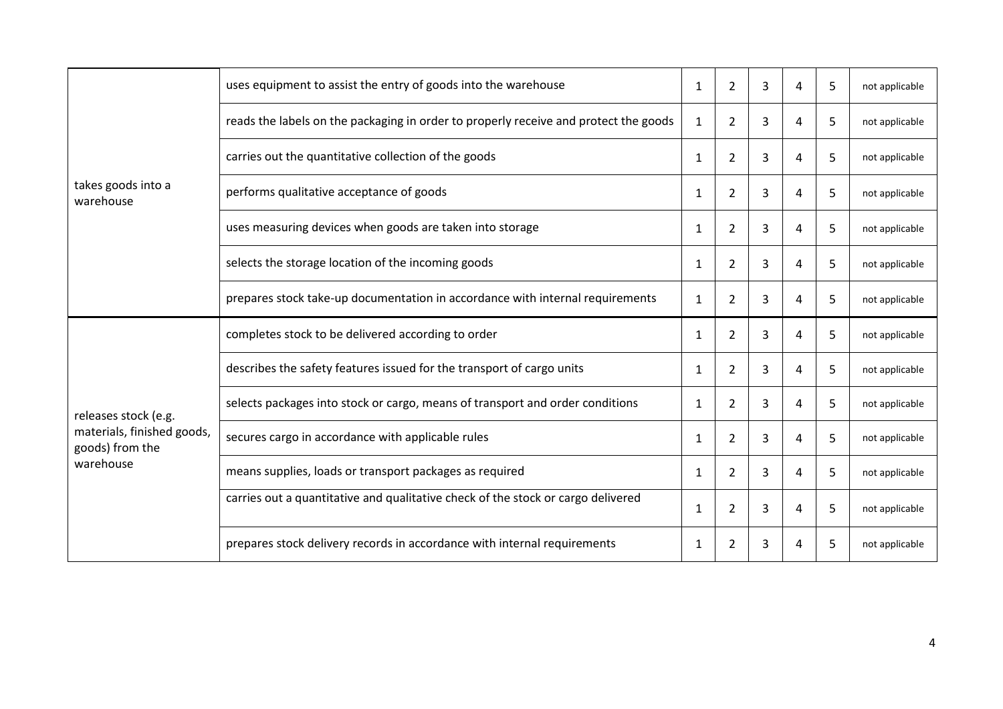|                                               | uses equipment to assist the entry of goods into the warehouse                       | 1            | 2              | 3 | 4 | 5 | not applicable |
|-----------------------------------------------|--------------------------------------------------------------------------------------|--------------|----------------|---|---|---|----------------|
|                                               | reads the labels on the packaging in order to properly receive and protect the goods | $\mathbf{1}$ | $\overline{2}$ | 3 | 4 | 5 | not applicable |
|                                               | carries out the quantitative collection of the goods                                 | $\mathbf{1}$ | $\overline{2}$ | 3 | 4 | 5 | not applicable |
| takes goods into a<br>warehouse               | performs qualitative acceptance of goods                                             | $\mathbf{1}$ | 2              | 3 | 4 | 5 | not applicable |
|                                               | uses measuring devices when goods are taken into storage                             |              | 2              | 3 | 4 | 5 | not applicable |
|                                               | selects the storage location of the incoming goods                                   | $\mathbf{1}$ | $\overline{2}$ | 3 | 4 | 5 | not applicable |
|                                               | prepares stock take-up documentation in accordance with internal requirements        | $\mathbf{1}$ | $\overline{2}$ | 3 | 4 | 5 | not applicable |
|                                               | completes stock to be delivered according to order                                   | $\mathbf{1}$ | $\overline{2}$ | 3 | 4 | 5 | not applicable |
|                                               | describes the safety features issued for the transport of cargo units                | $\mathbf{1}$ | $\overline{2}$ | 3 | 4 | 5 | not applicable |
| releases stock (e.g.                          | selects packages into stock or cargo, means of transport and order conditions        | 1            | 2              | 3 | 4 | 5 | not applicable |
| materials, finished goods,<br>goods) from the | secures cargo in accordance with applicable rules                                    | $\mathbf{1}$ | $\overline{2}$ | 3 | 4 | 5 | not applicable |
| warehouse                                     | means supplies, loads or transport packages as required                              | 1            | $\overline{2}$ | 3 | 4 | 5 | not applicable |
|                                               | carries out a quantitative and qualitative check of the stock or cargo delivered     | $\mathbf{1}$ | 2              | 3 | 4 | 5 | not applicable |
|                                               | prepares stock delivery records in accordance with internal requirements             | 1            | 2              | 3 | 4 | 5 | not applicable |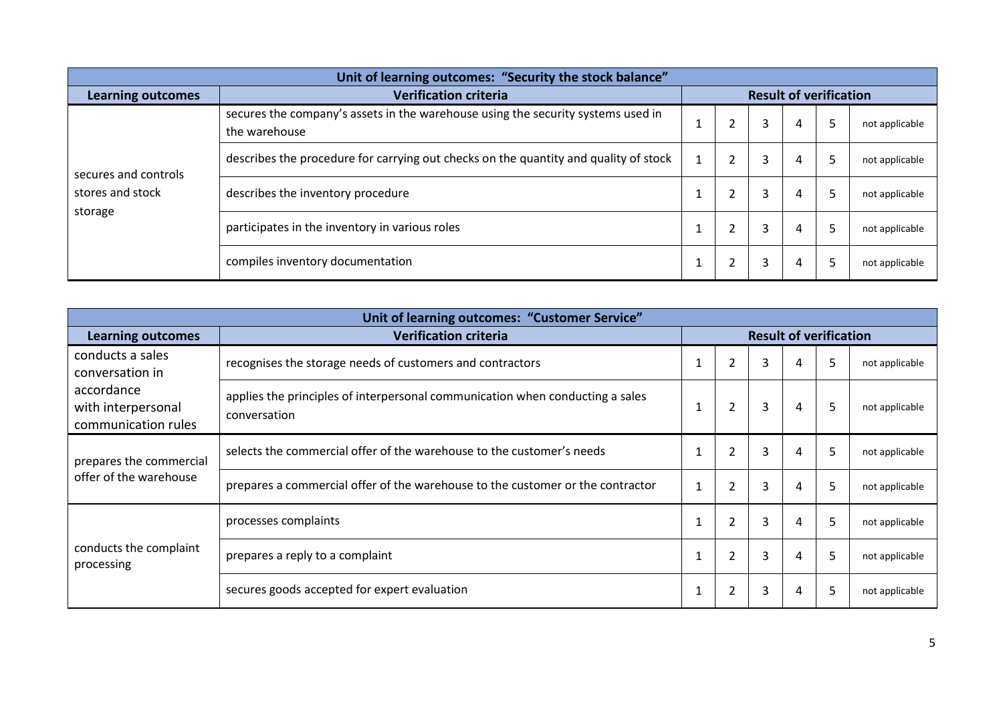| Unit of learning outcomes: "Security the stock balance" |                                                                                                   |  |  |   |   |   |                |
|---------------------------------------------------------|---------------------------------------------------------------------------------------------------|--|--|---|---|---|----------------|
| <b>Learning outcomes</b>                                | <b>Result of verification</b><br><b>Verification criteria</b>                                     |  |  |   |   |   |                |
| secures and controls                                    | secures the company's assets in the warehouse using the security systems used in<br>the warehouse |  |  | 3 | 4 |   | not applicable |
|                                                         | describes the procedure for carrying out checks on the quantity and quality of stock              |  |  | 3 | 4 | D | not applicable |
| stores and stock                                        | describes the inventory procedure                                                                 |  |  | 3 | 4 |   | not applicable |
| storage                                                 | participates in the inventory in various roles                                                    |  |  | 3 | 4 |   | not applicable |
|                                                         | compiles inventory documentation                                                                  |  |  | 3 |   |   | not applicable |

| Unit of learning outcomes: "Customer Service"                                                                                                            |                                                                                |              |                |   |   |    |                |
|----------------------------------------------------------------------------------------------------------------------------------------------------------|--------------------------------------------------------------------------------|--------------|----------------|---|---|----|----------------|
| <b>Learning outcomes</b>                                                                                                                                 | <b>Result of verification</b><br><b>Verification criteria</b>                  |              |                |   |   |    |                |
| conducts a sales<br>conversation in                                                                                                                      | recognises the storage needs of customers and contractors                      |              | $\overline{2}$ | 3 | 4 | 5  | not applicable |
| accordance<br>applies the principles of interpersonal communication when conducting a sales<br>with interpersonal<br>conversation<br>communication rules |                                                                                | 1            | $\overline{2}$ | 3 | 4 | 5  | not applicable |
| prepares the commercial                                                                                                                                  | selects the commercial offer of the warehouse to the customer's needs          |              | $\overline{2}$ | 3 | 4 | 5  | not applicable |
| offer of the warehouse                                                                                                                                   | prepares a commercial offer of the warehouse to the customer or the contractor | $\mathbf{1}$ | $\overline{2}$ | 3 | 4 | 5  | not applicable |
|                                                                                                                                                          | processes complaints                                                           |              | $\overline{2}$ | 3 | 4 | 5  | not applicable |
| conducts the complaint<br>processing                                                                                                                     | prepares a reply to a complaint                                                | 1            | $\overline{2}$ | 3 | 4 | 5. | not applicable |
|                                                                                                                                                          | secures goods accepted for expert evaluation                                   | 1            | $\overline{2}$ | 3 | 4 | 5  | not applicable |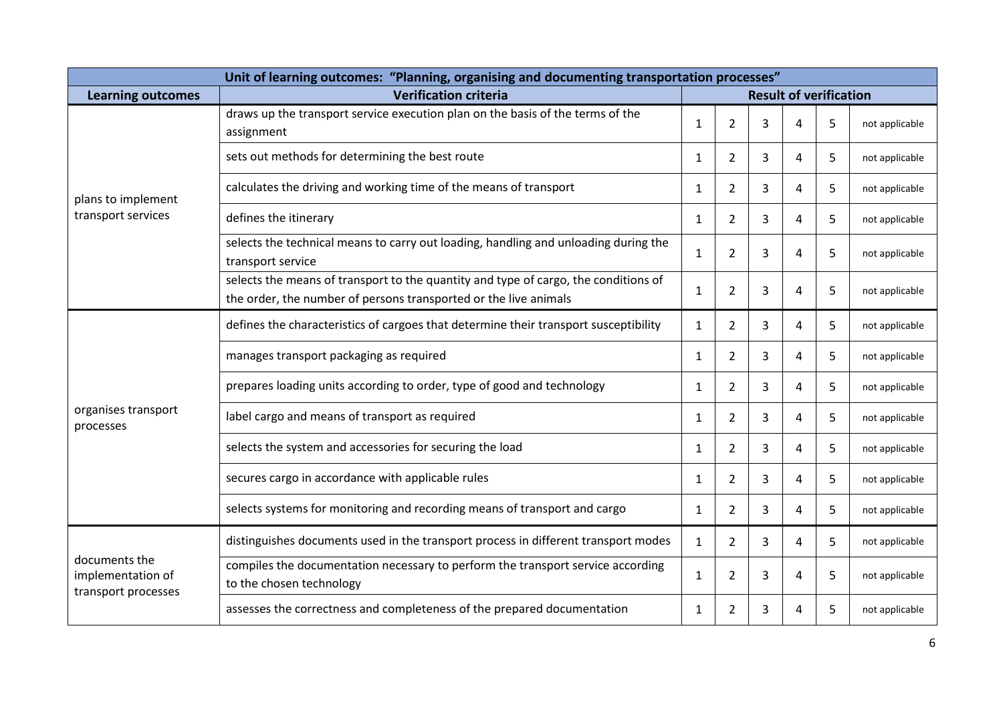| Unit of learning outcomes: "Planning, organising and documenting transportation processes" |                                                                                                                                                                                                                                                                     |              |                |   |   |   |                |
|--------------------------------------------------------------------------------------------|---------------------------------------------------------------------------------------------------------------------------------------------------------------------------------------------------------------------------------------------------------------------|--------------|----------------|---|---|---|----------------|
| <b>Learning outcomes</b>                                                                   | <b>Verification criteria</b><br><b>Result of verification</b>                                                                                                                                                                                                       |              |                |   |   |   |                |
|                                                                                            | draws up the transport service execution plan on the basis of the terms of the<br>assignment                                                                                                                                                                        | 1            | $\overline{2}$ | 3 | 4 | 5 | not applicable |
|                                                                                            | sets out methods for determining the best route                                                                                                                                                                                                                     | 1            | 2              | 3 | 4 | 5 | not applicable |
| plans to implement                                                                         | calculates the driving and working time of the means of transport                                                                                                                                                                                                   | $\mathbf{1}$ | $\overline{2}$ | 3 | 4 | 5 | not applicable |
| transport services                                                                         | defines the itinerary                                                                                                                                                                                                                                               | 1            | 2              | 3 | 4 | 5 | not applicable |
|                                                                                            | selects the technical means to carry out loading, handling and unloading during the<br>transport service<br>selects the means of transport to the quantity and type of cargo, the conditions of<br>the order, the number of persons transported or the live animals |              | 2              | 3 | 4 | 5 | not applicable |
|                                                                                            |                                                                                                                                                                                                                                                                     |              | $\overline{2}$ | 3 | 4 | 5 | not applicable |
|                                                                                            | defines the characteristics of cargoes that determine their transport susceptibility<br>manages transport packaging as required                                                                                                                                     |              | $\overline{2}$ | 3 | 4 | 5 | not applicable |
|                                                                                            |                                                                                                                                                                                                                                                                     |              | $\overline{2}$ | 3 | 4 | 5 | not applicable |
|                                                                                            | prepares loading units according to order, type of good and technology                                                                                                                                                                                              | $\mathbf{1}$ | $\overline{2}$ | 3 | 4 | 5 | not applicable |
| organises transport<br>processes                                                           | label cargo and means of transport as required                                                                                                                                                                                                                      | 1            | 2              | 3 | 4 | 5 | not applicable |
|                                                                                            | selects the system and accessories for securing the load                                                                                                                                                                                                            | 1            | 2              | 3 | 4 | 5 | not applicable |
|                                                                                            | secures cargo in accordance with applicable rules                                                                                                                                                                                                                   | $\mathbf{1}$ | 2              | 3 | 4 | 5 | not applicable |
|                                                                                            | selects systems for monitoring and recording means of transport and cargo                                                                                                                                                                                           | $\mathbf{1}$ | 2              | 3 | 4 | 5 | not applicable |
|                                                                                            | distinguishes documents used in the transport process in different transport modes                                                                                                                                                                                  | $\mathbf{1}$ | 2              | 3 | 4 | 5 | not applicable |
| documents the<br>implementation of<br>transport processes                                  | compiles the documentation necessary to perform the transport service according<br>to the chosen technology                                                                                                                                                         | $\mathbf{1}$ | $\overline{2}$ | 3 | 4 | 5 | not applicable |
|                                                                                            | assesses the correctness and completeness of the prepared documentation                                                                                                                                                                                             | $\mathbf{1}$ | 2              | 3 | 4 | 5 | not applicable |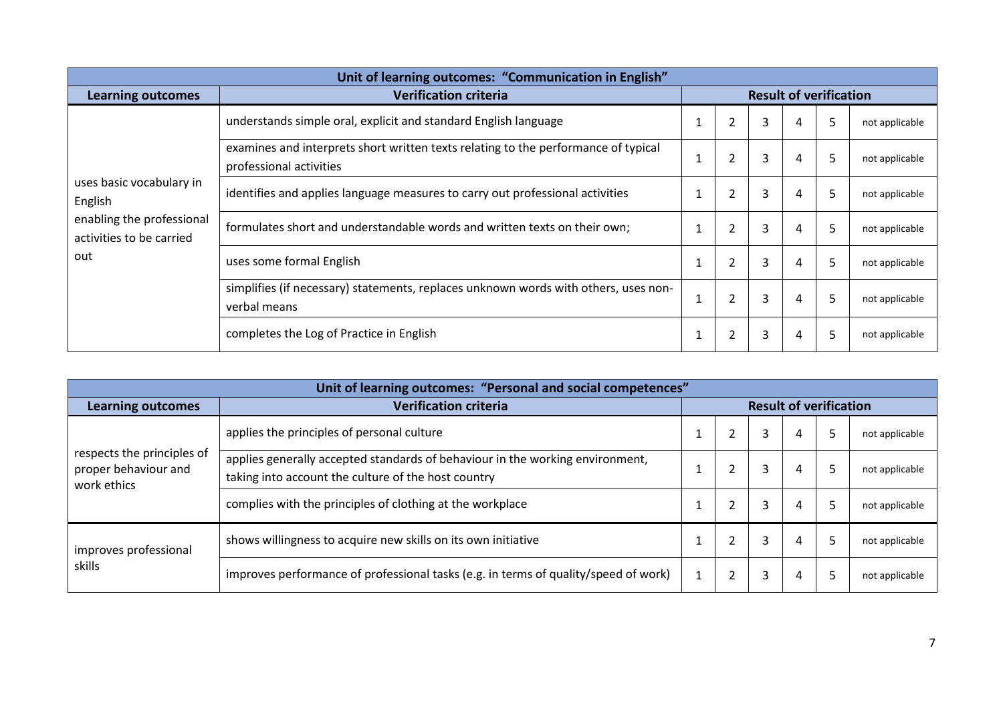| Unit of learning outcomes: "Communication in English" |                                                                                                                                                                                                                     |              |                          |   |   |    |                |
|-------------------------------------------------------|---------------------------------------------------------------------------------------------------------------------------------------------------------------------------------------------------------------------|--------------|--------------------------|---|---|----|----------------|
| <b>Learning outcomes</b>                              | <b>Result of verification</b><br><b>Verification criteria</b>                                                                                                                                                       |              |                          |   |   |    |                |
|                                                       | understands simple oral, explicit and standard English language                                                                                                                                                     |              | 2                        | 3 | 4 | 5  | not applicable |
|                                                       | examines and interprets short written texts relating to the performance of typical<br>1<br>professional activities<br>identifies and applies language measures to carry out professional activities<br>$\mathbf{1}$ |              | $\overline{2}$           | 3 | 4 | 5  | not applicable |
| uses basic vocabulary in<br>English                   |                                                                                                                                                                                                                     |              | $\overline{2}$           | 3 | 4 | 5. | not applicable |
| enabling the professional<br>activities to be carried | formulates short and understandable words and written texts on their own;                                                                                                                                           | $\mathbf{1}$ | $\overline{2}$           | 3 | 4 | 5  | not applicable |
| out                                                   | uses some formal English                                                                                                                                                                                            | 1            | $\overline{2}$           | 3 | 4 | 5  | not applicable |
|                                                       | simplifies (if necessary) statements, replaces unknown words with others, uses non-<br>verbal means                                                                                                                 |              | 2                        | 3 | 4 | 5  | not applicable |
|                                                       | completes the Log of Practice in English                                                                                                                                                                            |              | $\overline{\phantom{a}}$ | 3 | 4 | 5  | not applicable |

| Unit of learning outcomes: "Personal and social competences"      |                                                                                                                                      |  |   |                               |   |  |                |
|-------------------------------------------------------------------|--------------------------------------------------------------------------------------------------------------------------------------|--|---|-------------------------------|---|--|----------------|
| <b>Learning outcomes</b>                                          | <b>Verification criteria</b>                                                                                                         |  |   | <b>Result of verification</b> |   |  |                |
|                                                                   | applies the principles of personal culture                                                                                           |  |   | 3                             | 4 |  | not applicable |
| respects the principles of<br>proper behaviour and<br>work ethics | applies generally accepted standards of behaviour in the working environment,<br>taking into account the culture of the host country |  |   | 3                             | 4 |  | not applicable |
|                                                                   | complies with the principles of clothing at the workplace                                                                            |  |   | 3                             | 4 |  | not applicable |
| improves professional<br>skills                                   | shows willingness to acquire new skills on its own initiative                                                                        |  | 2 | 3                             | 4 |  | not applicable |
|                                                                   | improves performance of professional tasks (e.g. in terms of quality/speed of work)                                                  |  |   | 3                             | 4 |  | not applicable |